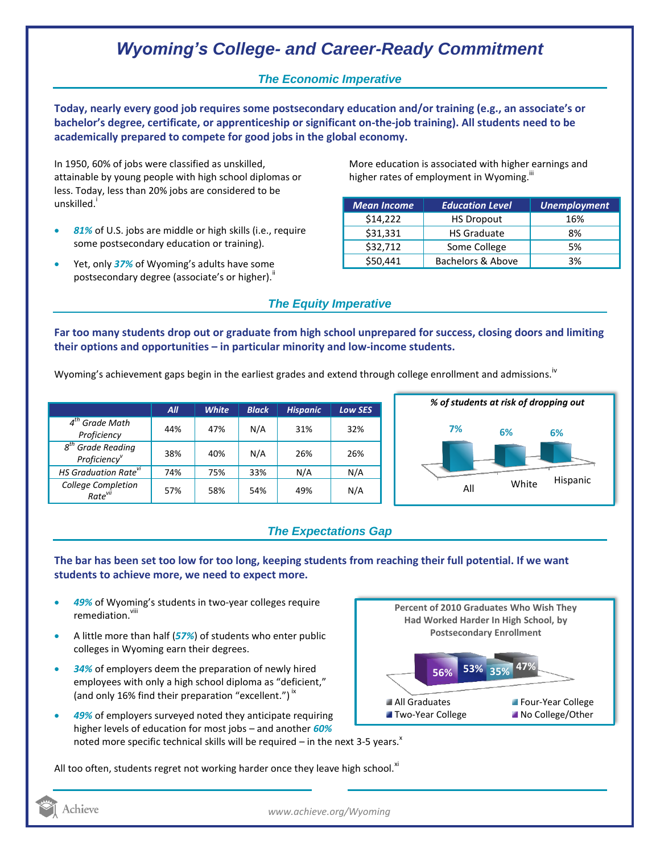# *Wyoming's College- and Career-Ready Commitment*

## *The Economic Imperative*

**Today, nearly every good job requires some postsecondary education and/or training (e.g., an associate's or bachelor's degree, certificate, or apprenticeship or significant on-the-job training). All students need to be academically prepared to compete for good jobs in the global economy.**

In 1950, 60% of jobs were classified as unskilled, attainable by young people with high school diplomas or less. Today, less than 20% jobs are considered to be unskilled.<sup>i</sup>

- *81%* of U.S. jobs are middle or high skills (i.e., require some postsecondary education or training).
- Yet, only *37%* of Wyoming's adults have some postsecondary degree (associate's or higher)."

More education is associated with higher earnings and higher rates of employment in Wyoming.<sup>""</sup>

| <b>Mean Income</b> | <b>Education Level</b> | Unemployment |
|--------------------|------------------------|--------------|
| \$14,222           | <b>HS Dropout</b>      | 16%          |
| \$31,331           | <b>HS Graduate</b>     | 8%           |
| \$32,712           | Some College           | 5%           |
| \$50,441           | Bachelors & Above      | 3%           |

#### *The Equity Imperative*

**Far too many students drop out or graduate from high school unprepared for success, closing doors and limiting their options and opportunities – in particular minority and low-income students.** 

Wyoming's achievement gaps begin in the earliest grades and extend through college enrollment and admissions.<sup>iv</sup>

|                                                              | All | <b>White</b> | <b>Black</b> | <b>Hispanic</b> | <b>Low SES</b> |
|--------------------------------------------------------------|-----|--------------|--------------|-----------------|----------------|
| $4th$ Grade Math<br>Proficiency                              | 44% | 47%          | N/A          | 31%             | 32%            |
| <b>Grade Reading</b><br>$g^{tn}$<br>Proficiency <sup>v</sup> | 38% | 40%          | N/A          | 26%             | 26%            |
| HS Graduation Rate <sup>vi</sup>                             | 74% | 75%          | 33%          | N/A             | N/A            |
| College Completion<br>Rate <sup>vii</sup>                    | 57% | 58%          | 54%          | 49%             | N/A            |



## *The Expectations Gap*

#### **The bar has been set too low for too long, keeping students from reaching their full potential. If we want students to achieve more, we need to expect more.**

- *49%* of Wyoming's students in two-year colleges require remediation vill
- A little more than half (*57%*) of students who enter public colleges in Wyoming earn their degrees.
- *34%* of employers deem the preparation of newly hired employees with only a high school diploma as "deficient," (and only 16% find their preparation "excellent.")<sup>ix</sup>
- *49%* of employers surveyed noted they anticipate requiring higher levels of education for most jobs – and another *60%* noted more specific technical skills will be required – in the next 3-5 years. $^{\text{x}}$

**47% 56% 53% 35% Percent of 2010 Graduates Who Wish They Had Worked Harder In High School, by Postsecondary Enrollment** All Graduates **Four-Year College Two-Year College No College/Other** 

All too often, students regret not working harder once they leave high school. $^{x_1}$ 

Achieve

*www.achieve.org/Wyoming*